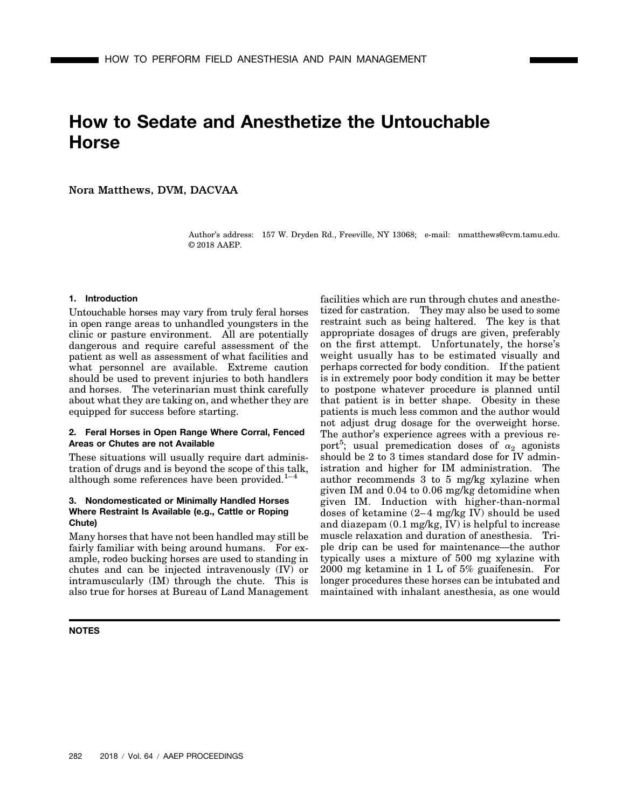# **How to Sedate and Anesthetize the Untouchable Horse**

Nora Matthews, DVM, DACVAA

Author's address: 157 W. Dryden Rd., Freeville, NY 13068; e-mail: nmatthews@cvm.tamu.edu. © 2018 AAEP.

## **1. Introduction**

Untouchable horses may vary from truly feral horses in open range areas to unhandled youngsters in the clinic or pasture environment. All are potentially dangerous and require careful assessment of the patient as well as assessment of what facilities and what personnel are available. Extreme caution should be used to prevent injuries to both handlers and horses. The veterinarian must think carefully about what they are taking on, and whether they are equipped for success before starting.

## **2. Feral Horses in Open Range Where Corral, Fenced Areas or Chutes are not Available**

These situations will usually require dart administration of drugs and is beyond the scope of this talk, although some references have been provided. $1-4$ 

## **3. Nondomesticated or Minimally Handled Horses Where Restraint Is Available (e.g., Cattle or Roping Chute)**

Many horses that have not been handled may still be fairly familiar with being around humans. For example, rodeo bucking horses are used to standing in chutes and can be injected intravenously (IV) or intramuscularly (IM) through the chute. This is also true for horses at Bureau of Land Management

**NOTES**

facilities which are run through chutes and anesthetized for castration. They may also be used to some restraint such as being haltered. The key is that appropriate dosages of drugs are given, preferably on the first attempt. Unfortunately, the horse's weight usually has to be estimated visually and perhaps corrected for body condition. If the patient is in extremely poor body condition it may be better to postpone whatever procedure is planned until that patient is in better shape. Obesity in these patients is much less common and the author would not adjust drug dosage for the overweight horse. The author's experience agrees with a previous report<sup>5</sup>; usual premedication doses of  $\alpha_2$  agonists should be 2 to 3 times standard dose for IV administration and higher for IM administration. The author recommends 3 to 5 mg/kg xylazine when given IM and 0.04 to 0.06 mg/kg detomidine when given IM. Induction with higher-than-normal doses of ketamine (2–4 mg/kg IV) should be used and diazepam (0.1 mg/kg, IV) is helpful to increase muscle relaxation and duration of anesthesia. Triple drip can be used for maintenance—the author typically uses a mixture of 500 mg xylazine with 2000 mg ketamine in 1 L of 5% guaifenesin. For longer procedures these horses can be intubated and maintained with inhalant anesthesia, as one would